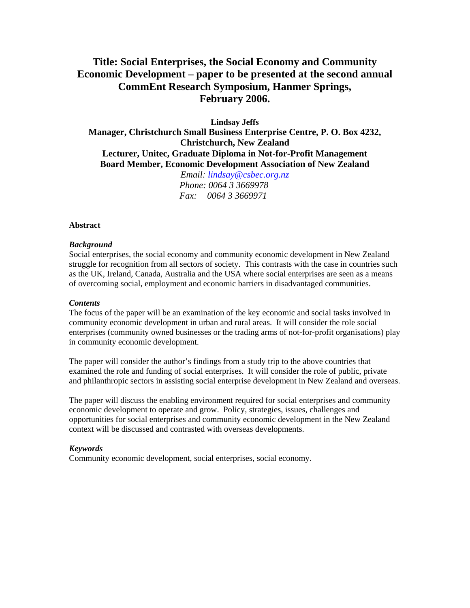# **Title: Social Enterprises, the Social Economy and Community Economic Development – paper to be presented at the second annual CommEnt Research Symposium, Hanmer Springs, February 2006.**

**Lindsay Jeffs** 

**Manager, Christchurch Small Business Enterprise Centre, P. O. Box 4232, Christchurch, New Zealand Lecturer, Unitec, Graduate Diploma in Not-for-Profit Management Board Member, Economic Development Association of New Zealand**

*Email: [lindsay@csbec.org.nz](mailto:lindsay@csbec.org.nz) Phone: 0064 3 3669978 Fax: 0064 3 3669971*

#### **Abstract**

#### *Background*

Social enterprises, the social economy and community economic development in New Zealand struggle for recognition from all sectors of society. This contrasts with the case in countries such as the UK, Ireland, Canada, Australia and the USA where social enterprises are seen as a means of overcoming social, employment and economic barriers in disadvantaged communities.

#### *Contents*

The focus of the paper will be an examination of the key economic and social tasks involved in community economic development in urban and rural areas. It will consider the role social enterprises (community owned businesses or the trading arms of not-for-profit organisations) play in community economic development.

The paper will consider the author's findings from a study trip to the above countries that examined the role and funding of social enterprises. It will consider the role of public, private and philanthropic sectors in assisting social enterprise development in New Zealand and overseas.

The paper will discuss the enabling environment required for social enterprises and community economic development to operate and grow. Policy, strategies, issues, challenges and opportunities for social enterprises and community economic development in the New Zealand context will be discussed and contrasted with overseas developments.

#### *Keywords*

Community economic development, social enterprises, social economy.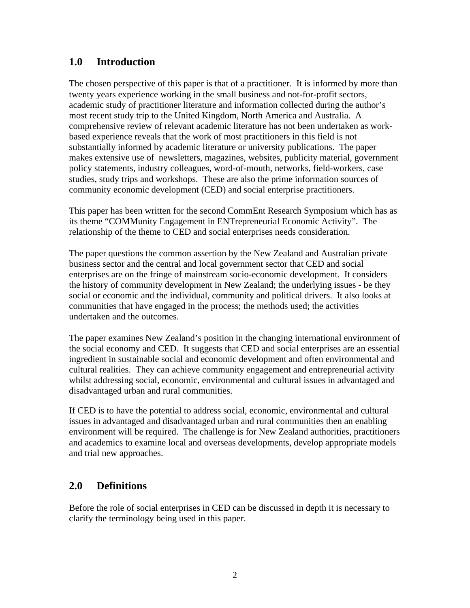# **1.0 Introduction**

The chosen perspective of this paper is that of a practitioner. It is informed by more than twenty years experience working in the small business and not-for-profit sectors, academic study of practitioner literature and information collected during the author's most recent study trip to the United Kingdom, North America and Australia. A comprehensive review of relevant academic literature has not been undertaken as workbased experience reveals that the work of most practitioners in this field is not substantially informed by academic literature or university publications. The paper makes extensive use of newsletters, magazines, websites, publicity material, government policy statements, industry colleagues, word-of-mouth, networks, field-workers, case studies, study trips and workshops. These are also the prime information sources of community economic development (CED) and social enterprise practitioners.

This paper has been written for the second CommEnt Research Symposium which has as its theme "COMMunity Engagement in ENTrepreneurial Economic Activity". The relationship of the theme to CED and social enterprises needs consideration.

The paper questions the common assertion by the New Zealand and Australian private business sector and the central and local government sector that CED and social enterprises are on the fringe of mainstream socio-economic development. It considers the history of community development in New Zealand; the underlying issues - be they social or economic and the individual, community and political drivers. It also looks at communities that have engaged in the process; the methods used; the activities undertaken and the outcomes.

The paper examines New Zealand's position in the changing international environment of the social economy and CED. It suggests that CED and social enterprises are an essential ingredient in sustainable social and economic development and often environmental and cultural realities. They can achieve community engagement and entrepreneurial activity whilst addressing social, economic, environmental and cultural issues in advantaged and disadvantaged urban and rural communities.

If CED is to have the potential to address social, economic, environmental and cultural issues in advantaged and disadvantaged urban and rural communities then an enabling environment will be required. The challenge is for New Zealand authorities, practitioners and academics to examine local and overseas developments, develop appropriate models and trial new approaches.

## **2.0 Definitions**

Before the role of social enterprises in CED can be discussed in depth it is necessary to clarify the terminology being used in this paper.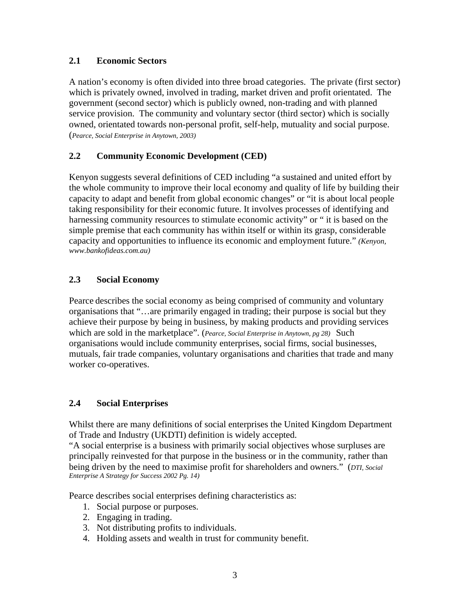### **2.1 Economic Sectors**

A nation's economy is often divided into three broad categories. The private (first sector) which is privately owned, involved in trading, market driven and profit orientated. The government (second sector) which is publicly owned, non-trading and with planned service provision. The community and voluntary sector (third sector) which is socially owned, orientated towards non-personal profit, self-help, mutuality and social purpose. (*Pearce, Social Enterprise in Anytown, 2003)* 

### **2.2 Community Economic Development (CED)**

Kenyon suggests several definitions of CED including "a sustained and united effort by the whole community to improve their local economy and quality of life by building their capacity to adapt and benefit from global economic changes" or "it is about local people taking responsibility for their economic future. It involves processes of identifying and harnessing community resources to stimulate economic activity" or " it is based on the simple premise that each community has within itself or within its grasp, considerable capacity and opportunities to influence its economic and employment future." *(Kenyon, www.bankofideas.com.au)* 

### **2.3 Social Economy**

Pearce describes the social economy as being comprised of community and voluntary organisations that "…are primarily engaged in trading; their purpose is social but they achieve their purpose by being in business, by making products and providing services which are sold in the marketplace". (*Pearce, Social Enterprise in Anytown, pg 28)* Such organisations would include community enterprises, social firms, social businesses, mutuals, fair trade companies, voluntary organisations and charities that trade and many worker co-operatives.

### **2.4 Social Enterprises**

Whilst there are many definitions of social enterprises the United Kingdom Department of Trade and Industry (UKDTI) definition is widely accepted.

"A social enterprise is a business with primarily social objectives whose surpluses are principally reinvested for that purpose in the business or in the community, rather than being driven by the need to maximise profit for shareholders and owners." (*DTI, Social Enterprise A Strategy for Success 2002 Pg. 14)* 

Pearce describes social enterprises defining characteristics as:

- 1. Social purpose or purposes.
- 2. Engaging in trading.
- 3. Not distributing profits to individuals.
- 4. Holding assets and wealth in trust for community benefit.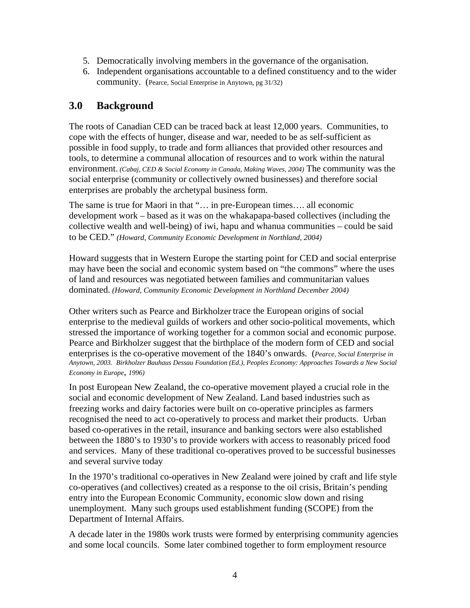- 5. Democratically involving members in the governance of the organisation.
- 6. Independent organisations accountable to a defined constituency and to the wider community. (Pearce, Social Enterprise in Anytown, pg 31/32)

# **3.0 Background**

The roots of Canadian CED can be traced back at least 12,000 years. Communities, to cope with the effects of hunger, disease and war, needed to be as self-sufficient as possible in food supply, to trade and form alliances that provided other resources and tools, to determine a communal allocation of resources and to work within the natural environment. *(Cabaj, CED & Social Economy in Canada, Making Waves, 2004)* The community was the social enterprise (community or collectively owned businesses) and therefore social enterprises are probably the archetypal business form.

The same is true for Maori in that "… in pre-European times…. all economic development work – based as it was on the whakapapa-based collectives (including the collective wealth and well-being) of iwi, hapu and whanua communities – could be said to be CED." *(Howard, Community Economic Development in Northland, 2004)*

Howard suggests that in Western Europe the starting point for CED and social enterprise may have been the social and economic system based on "the commons" where the uses of land and resources was negotiated between families and communitarian values dominated. *(Howard, Community Economic Development in Northland December 2004)*

Other writers such as Pearce and Birkholzer trace the European origins of social enterprise to the medieval guilds of workers and other socio-political movements, which stressed the importance of working together for a common social and economic purpose. Pearce and Birkholzer suggest that the birthplace of the modern form of CED and social enterprises is the co-operative movement of the 1840's onwards. (*Pearce, Social Enterprise in Anytown, 2003. Birkholzer Bauhaus Dessau Foundation (Ed.), Peoples Economy: Approaches Towards a New Social Economy in Europe*, *1996)*

In post European New Zealand, the co-operative movement played a crucial role in the social and economic development of New Zealand. Land based industries such as freezing works and dairy factories were built on co-operative principles as farmers recognised the need to act co-operatively to process and market their products. Urban based co-operatives in the retail, insurance and banking sectors were also established between the 1880's to 1930's to provide workers with access to reasonably priced food and services. Many of these traditional co-operatives proved to be successful businesses and several survive today

In the 1970's traditional co-operatives in New Zealand were joined by craft and life style co-operatives (and collectives) created as a response to the oil crisis, Britain's pending entry into the European Economic Community, economic slow down and rising unemployment. Many such groups used establishment funding (SCOPE) from the Department of Internal Affairs.

A decade later in the 1980s work trusts were formed by enterprising community agencies and some local councils. Some later combined together to form employment resource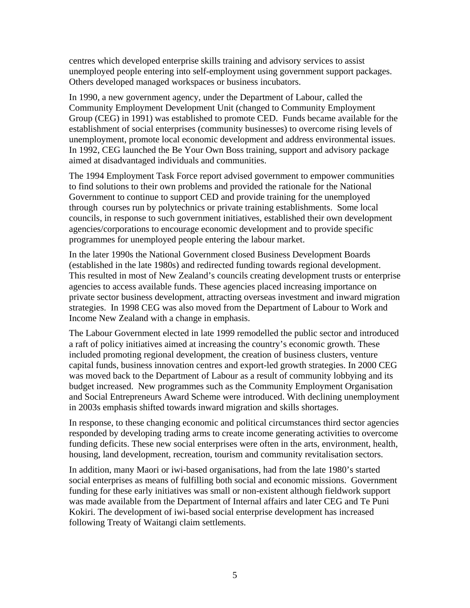centres which developed enterprise skills training and advisory services to assist unemployed people entering into self-employment using government support packages. Others developed managed workspaces or business incubators.

In 1990, a new government agency, under the Department of Labour, called the Community Employment Development Unit (changed to Community Employment Group (CEG) in 1991) was established to promote CED. Funds became available for the establishment of social enterprises (community businesses) to overcome rising levels of unemployment, promote local economic development and address environmental issues. In 1992, CEG launched the Be Your Own Boss training, support and advisory package aimed at disadvantaged individuals and communities.

The 1994 Employment Task Force report advised government to empower communities to find solutions to their own problems and provided the rationale for the National Government to continue to support CED and provide training for the unemployed through courses run by polytechnics or private training establishments. Some local councils, in response to such government initiatives, established their own development agencies/corporations to encourage economic development and to provide specific programmes for unemployed people entering the labour market.

In the later 1990s the National Government closed Business Development Boards (established in the late 1980s) and redirected funding towards regional development. This resulted in most of New Zealand's councils creating development trusts or enterprise agencies to access available funds. These agencies placed increasing importance on private sector business development, attracting overseas investment and inward migration strategies. In 1998 CEG was also moved from the Department of Labour to Work and Income New Zealand with a change in emphasis.

The Labour Government elected in late 1999 remodelled the public sector and introduced a raft of policy initiatives aimed at increasing the country's economic growth. These included promoting regional development, the creation of business clusters, venture capital funds, business innovation centres and export-led growth strategies. In 2000 CEG was moved back to the Department of Labour as a result of community lobbying and its budget increased. New programmes such as the Community Employment Organisation and Social Entrepreneurs Award Scheme were introduced. With declining unemployment in 2003s emphasis shifted towards inward migration and skills shortages.

In response, to these changing economic and political circumstances third sector agencies responded by developing trading arms to create income generating activities to overcome funding deficits. These new social enterprises were often in the arts, environment, health, housing, land development, recreation, tourism and community revitalisation sectors.

In addition, many Maori or iwi-based organisations, had from the late 1980's started social enterprises as means of fulfilling both social and economic missions. Government funding for these early initiatives was small or non-existent although fieldwork support was made available from the Department of Internal affairs and later CEG and Te Puni Kokiri. The development of iwi-based social enterprise development has increased following Treaty of Waitangi claim settlements.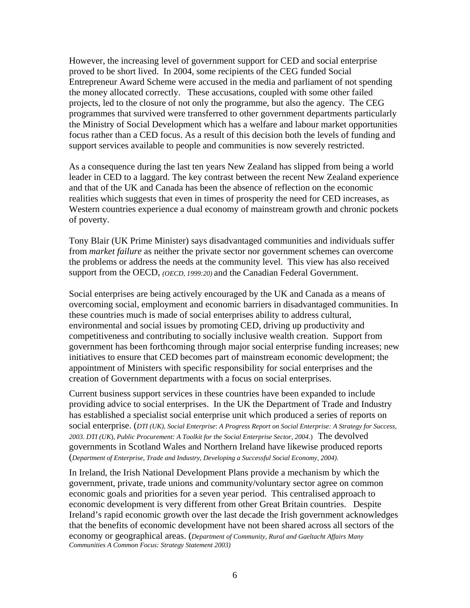However, the increasing level of government support for CED and social enterprise proved to be short lived. In 2004, some recipients of the CEG funded Social Entrepreneur Award Scheme were accused in the media and parliament of not spending the money allocated correctly. These accusations, coupled with some other failed projects, led to the closure of not only the programme, but also the agency. The CEG programmes that survived were transferred to other government departments particularly the Ministry of Social Development which has a welfare and labour market opportunities focus rather than a CED focus. As a result of this decision both the levels of funding and support services available to people and communities is now severely restricted.

As a consequence during the last ten years New Zealand has slipped from being a world leader in CED to a laggard. The key contrast between the recent New Zealand experience and that of the UK and Canada has been the absence of reflection on the economic realities which suggests that even in times of prosperity the need for CED increases, as Western countries experience a dual economy of mainstream growth and chronic pockets of poverty.

Tony Blair (UK Prime Minister) says disadvantaged communities and individuals suffer from *market failure* as neither the private sector nor government schemes can overcome the problems or address the needs at the community level. This view has also received support from the OECD, *(OECD, 1999:20)* and the Canadian Federal Government.

Social enterprises are being actively encouraged by the UK and Canada as a means of overcoming social, employment and economic barriers in disadvantaged communities. In these countries much is made of social enterprises ability to address cultural, environmental and social issues by promoting CED, driving up productivity and competitiveness and contributing to socially inclusive wealth creation. Support from government has been forthcoming through major social enterprise funding increases; new initiatives to ensure that CED becomes part of mainstream economic development; the appointment of Ministers with specific responsibility for social enterprises and the creation of Government departments with a focus on social enterprises.

Current business support services in these countries have been expanded to include providing advice to social enterprises. In the UK the Department of Trade and Industry has established a specialist social enterprise unit which produced a series of reports on social enterprise. (*DTI (UK), Social Enterprise*: *A Progress Report on Social Enterprise: A Strategy for Success*, *2003*. *DTI (UK*), *Public Procurement: A Toolkit for the Social Enterprise Sector*, *2004*.) The devolved governments in Scotland Wales and Northern Ireland have likewise produced reports (*Department of Enterprise, Trade and Industry, Developing a Successful Social Economy, 2004).*

In Ireland, the Irish National Development Plans provide a mechanism by which the government, private, trade unions and community/voluntary sector agree on common economic goals and priorities for a seven year period. This centralised approach to economic development is very different from other Great Britain countries. Despite Ireland's rapid economic growth over the last decade the Irish government acknowledges that the benefits of economic development have not been shared across all sectors of the economy or geographical areas. (*Department of Community, Rural and Gaeltacht Affairs Many Communities A Common Focus: Strategy Statement 2003)*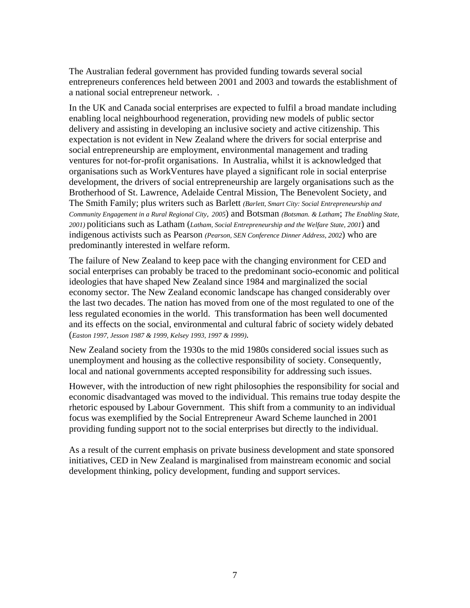The Australian federal government has provided funding towards several social entrepreneurs conferences held between 2001 and 2003 and towards the establishment of a national social entrepreneur network. .

In the UK and Canada social enterprises are expected to fulfil a broad mandate including enabling local neighbourhood regeneration, providing new models of public sector delivery and assisting in developing an inclusive society and active citizenship. This expectation is not evident in New Zealand where the drivers for social enterprise and social entrepreneurship are employment, environmental management and trading ventures for not-for-profit organisations. In Australia, whilst it is acknowledged that organisations such as WorkVentures have played a significant role in social enterprise development, the drivers of social entrepreneurship are largely organisations such as the Brotherhood of St. Lawrence, Adelaide Central Mission, The Benevolent Society, and The Smith Family; plus writers such as Barlett *(Barlett, [Smart City: Social Entrepreneurship and](http://www.engagingcommunities2005.org/abstracts/S56-bartlett-l.html)  [Community Engagement in a Rural Regional City](http://www.engagingcommunities2005.org/abstracts/S56-bartlett-l.html), 2005*) and Botsman *(Botsman. & Latham*; *The Enabling State, 2001)* politicians such as Latham (*Latham, Social Entrepreneurship and the Welfare State, 2001*) and indigenous activists such as Pearson *(Pearson, SEN Conference Dinner Address, 2002*) who are predominantly interested in welfare reform.

The failure of New Zealand to keep pace with the changing environment for CED and social enterprises can probably be traced to the predominant socio-economic and political ideologies that have shaped New Zealand since 1984 and marginalized the social economy sector. The New Zealand economic landscape has changed considerably over the last two decades. The nation has moved from one of the most regulated to one of the less regulated economies in the world. This transformation has been well documented and its effects on the social, environmental and cultural fabric of society widely debated (*Easton 1997, Jesson 1987 & 1999, Kelsey 1993, 1997 & 1999)*.

New Zealand society from the 1930s to the mid 1980s considered social issues such as unemployment and housing as the collective responsibility of society. Consequently, local and national governments accepted responsibility for addressing such issues.

However, with the introduction of new right philosophies the responsibility for social and economic disadvantaged was moved to the individual. This remains true today despite the rhetoric espoused by Labour Government. This shift from a community to an individual focus was exemplified by the Social Entrepreneur Award Scheme launched in 2001 providing funding support not to the social enterprises but directly to the individual.

As a result of the current emphasis on private business development and state sponsored initiatives, CED in New Zealand is marginalised from mainstream economic and social development thinking, policy development, funding and support services.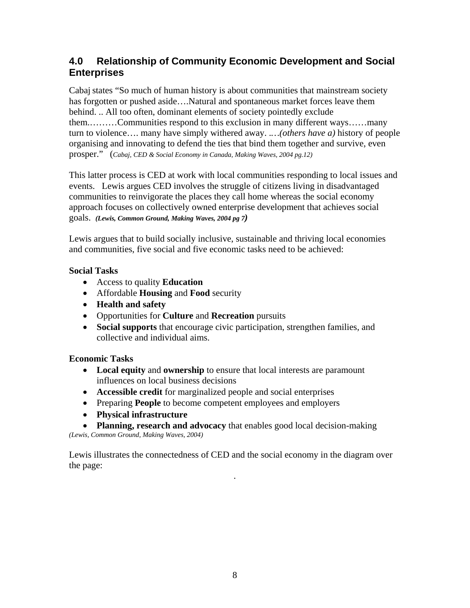# **4.0 Relationship of Community Economic Development and Social Enterprises**

Cabaj states "So much of human history is about communities that mainstream society has forgotten or pushed aside….Natural and spontaneous market forces leave them behind. .. All too often, dominant elements of society pointedly exclude them.………Communities respond to this exclusion in many different ways……many turn to violence…. many have simply withered away. .*…(others have a)* history of people organising and innovating to defend the ties that bind them together and survive, even prosper." (*Cabaj, CED & Social Economy in Canada, Making Waves, 2004 pg.12)*

This latter process is CED at work with local communities responding to local issues and events.Lewis argues CED involves the struggle of citizens living in disadvantaged communities to reinvigorate the places they call home whereas the social economy approach focuses on collectively owned enterprise development that achieves social goals.*(Lewis, Common Ground, Making Waves, 2004 pg 7)*

Lewis argues that to build socially inclusive, sustainable and thriving local economies and communities, five social and five economic tasks need to be achieved:

### **Social Tasks**

- Access to quality **Education**
- Affordable **Housing** and **Food** security
- **Health and safety**
- Opportunities for **Culture** and **Recreation** pursuits
- **Social supports** that encourage civic participation, strengthen families, and collective and individual aims.

## **Economic Tasks**

- **Local equity** and **ownership** to ensure that local interests are paramount influences on local business decisions
- **Accessible credit** for marginalized people and social enterprises
- Preparing **People** to become competent employees and employers
- **Physical infrastructure**
- **Planning, research and advocacy** that enables good local decision-making

*(Lewis, Common Ground, Making Waves, 2004)* 

.

Lewis illustrates the connectedness of CED and the social economy in the diagram over the page: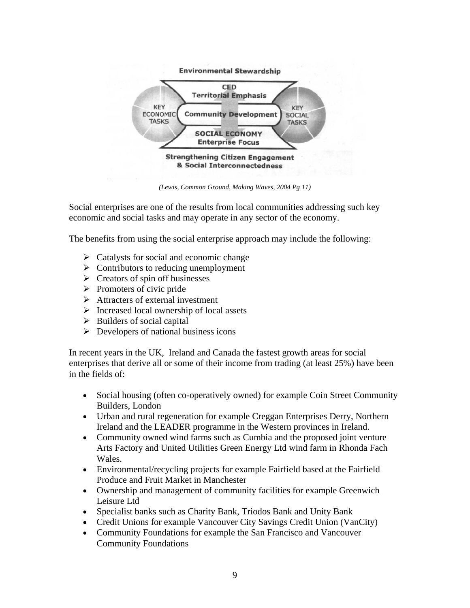

*(Lewis, Common Ground, Making Waves, 2004 Pg 11)* 

Social enterprises are one of the results from local communities addressing such key economic and social tasks and may operate in any sector of the economy.

The benefits from using the social enterprise approach may include the following:

- $\triangleright$  Catalysts for social and economic change
- $\triangleright$  Contributors to reducing unemployment
- $\triangleright$  Creators of spin off businesses
- $\triangleright$  Promoters of civic pride
- $\triangleright$  Attracters of external investment
- $\triangleright$  Increased local ownership of local assets
- $\triangleright$  Builders of social capital
- $\triangleright$  Developers of national business icons

In recent years in the UK, Ireland and Canada the fastest growth areas for social enterprises that derive all or some of their income from trading (at least 25%) have been in the fields of:

- Social housing (often co-operatively owned) for example Coin Street Community Builders, London
- Urban and rural regeneration for example Creggan Enterprises Derry, Northern Ireland and the LEADER programme in the Western provinces in Ireland.
- Community owned wind farms such as Cumbia and the proposed joint venture Arts Factory and United Utilities Green Energy Ltd wind farm in Rhonda Fach Wales.
- Environmental/recycling projects for example Fairfield based at the Fairfield Produce and Fruit Market in Manchester
- Ownership and management of community facilities for example Greenwich Leisure Ltd
- Specialist banks such as Charity Bank, Triodos Bank and Unity Bank
- Credit Unions for example Vancouver City Savings Credit Union (VanCity)
- Community Foundations for example the San Francisco and Vancouver Community Foundations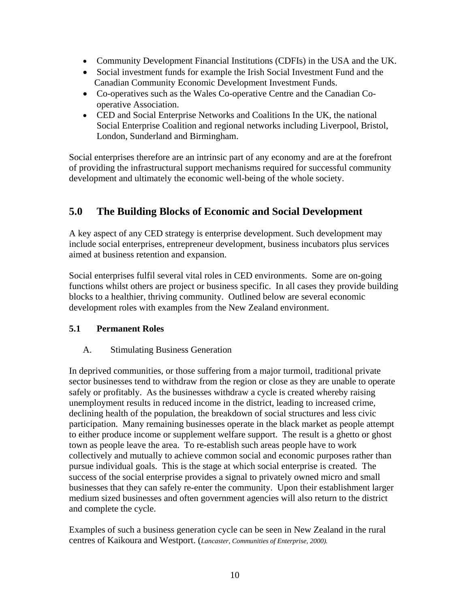- Community Development Financial Institutions (CDFIs) in the USA and the UK.
- Social investment funds for example the Irish Social Investment Fund and the Canadian Community Economic Development Investment Funds.
- Co-operatives such as the Wales Co-operative Centre and the Canadian Cooperative Association.
- CED and Social Enterprise Networks and Coalitions In the UK, the national Social Enterprise Coalition and regional networks including Liverpool, Bristol, London, Sunderland and Birmingham.

Social enterprises therefore are an intrinsic part of any economy and are at the forefront of providing the infrastructural support mechanisms required for successful community development and ultimately the economic well-being of the whole society.

# **5.0 The Building Blocks of Economic and Social Development**

A key aspect of any CED strategy is enterprise development. Such development may include social enterprises, entrepreneur development, business incubators plus services aimed at business retention and expansion.

Social enterprises fulfil several vital roles in CED environments. Some are on-going functions whilst others are project or business specific. In all cases they provide building blocks to a healthier, thriving community. Outlined below are several economic development roles with examples from the New Zealand environment.

### **5.1 Permanent Roles**

### A. Stimulating Business Generation

In deprived communities, or those suffering from a major turmoil, traditional private sector businesses tend to withdraw from the region or close as they are unable to operate safely or profitably. As the businesses withdraw a cycle is created whereby raising unemployment results in reduced income in the district, leading to increased crime, declining health of the population, the breakdown of social structures and less civic participation. Many remaining businesses operate in the black market as people attempt to either produce income or supplement welfare support. The result is a ghetto or ghost town as people leave the area. To re-establish such areas people have to work collectively and mutually to achieve common social and economic purposes rather than pursue individual goals. This is the stage at which social enterprise is created. The success of the social enterprise provides a signal to privately owned micro and small businesses that they can safely re-enter the community. Upon their establishment larger medium sized businesses and often government agencies will also return to the district and complete the cycle.

Examples of such a business generation cycle can be seen in New Zealand in the rural centres of Kaikoura and Westport. (*Lancaster, Communities of Enterprise, 2000).*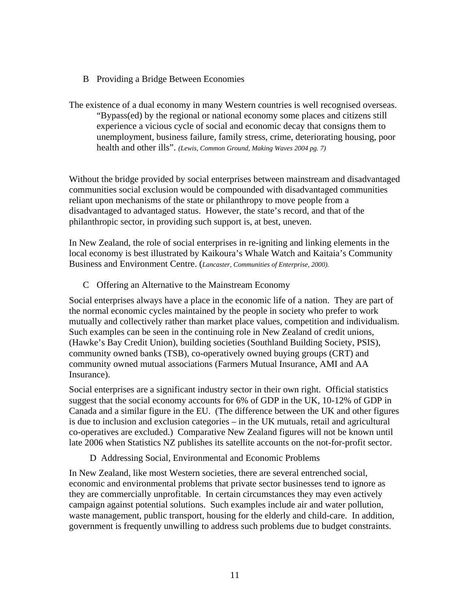B Providing a Bridge Between Economies

The existence of a dual economy in many Western countries is well recognised overseas. "Bypass(ed) by the regional or national economy some places and citizens still experience a vicious cycle of social and economic decay that consigns them to unemployment, business failure, family stress, crime, deteriorating housing, poor health and other ills". *(Lewis, Common Ground, Making Waves 2004 pg. 7)* 

Without the bridge provided by social enterprises between mainstream and disadvantaged communities social exclusion would be compounded with disadvantaged communities reliant upon mechanisms of the state or philanthropy to move people from a disadvantaged to advantaged status. However, the state's record, and that of the philanthropic sector, in providing such support is, at best, uneven.

In New Zealand, the role of social enterprises in re-igniting and linking elements in the local economy is best illustrated by Kaikoura's Whale Watch and Kaitaia's Community Business and Environment Centre. (*Lancaster, Communities of Enterprise, 2000).*

C Offering an Alternative to the Mainstream Economy

Social enterprises always have a place in the economic life of a nation. They are part of the normal economic cycles maintained by the people in society who prefer to work mutually and collectively rather than market place values, competition and individualism. Such examples can be seen in the continuing role in New Zealand of credit unions, (Hawke's Bay Credit Union), building societies (Southland Building Society, PSIS), community owned banks (TSB), co-operatively owned buying groups (CRT) and community owned mutual associations (Farmers Mutual Insurance, AMI and AA Insurance).

Social enterprises are a significant industry sector in their own right. Official statistics suggest that the social economy accounts for 6% of GDP in the UK, 10-12% of GDP in Canada and a similar figure in the EU. (The difference between the UK and other figures is due to inclusion and exclusion categories – in the UK mutuals, retail and agricultural co-operatives are excluded.) Comparative New Zealand figures will not be known until late 2006 when Statistics NZ publishes its satellite accounts on the not-for-profit sector.

D Addressing Social, Environmental and Economic Problems

In New Zealand, like most Western societies, there are several entrenched social, economic and environmental problems that private sector businesses tend to ignore as they are commercially unprofitable. In certain circumstances they may even actively campaign against potential solutions. Such examples include air and water pollution, waste management, public transport, housing for the elderly and child-care. In addition, government is frequently unwilling to address such problems due to budget constraints.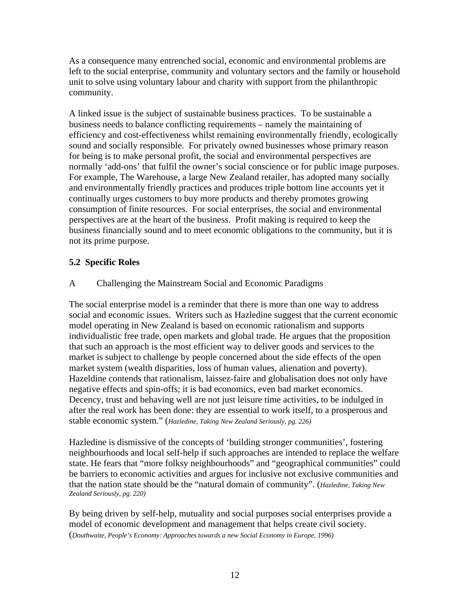As a consequence many entrenched social, economic and environmental problems are left to the social enterprise, community and voluntary sectors and the family or household unit to solve using voluntary labour and charity with support from the philanthropic community.

A linked issue is the subject of sustainable business practices. To be sustainable a business needs to balance conflicting requirements – namely the maintaining of efficiency and cost-effectiveness whilst remaining environmentally friendly, ecologically sound and socially responsible. For privately owned businesses whose primary reason for being is to make personal profit, the social and environmental perspectives are normally 'add-ons' that fulfil the owner's social conscience or for public image purposes. For example, The Warehouse, a large New Zealand retailer, has adopted many socially and environmentally friendly practices and produces triple bottom line accounts yet it continually urges customers to buy more products and thereby promotes growing consumption of finite resources. For social enterprises, the social and environmental perspectives are at the heart of the business. Profit making is required to keep the business financially sound and to meet economic obligations to the community, but it is not its prime purpose.

### **5.2 Specific Roles**

### A Challenging the Mainstream Social and Economic Paradigms

The social enterprise model is a reminder that there is more than one way to address social and economic issues. Writers such as Hazledine suggest that the current economic model operating in New Zealand is based on economic rationalism and supports individualistic free trade, open markets and global trade. He argues that the proposition that such an approach is the most efficient way to deliver goods and services to the market is subject to challenge by people concerned about the side effects of the open market system (wealth disparities, loss of human values, alienation and poverty). Hazeldine contends that rationalism, laissez-faire and globalisation does not only have negative effects and spin-offs; it is bad economics, even bad market economics. Decency, trust and behaving well are not just leisure time activities, to be indulged in after the real work has been done: they are essential to work itself, to a prosperous and stable economic system." (*Hazledine, Taking New Zealand Seriously, pg. 226)* 

Hazledine is dismissive of the concepts of 'building stronger communities', fostering neighbourhoods and local self-help if such approaches are intended to replace the welfare state. He fears that "more folksy neighbourhoods" and "geographical communities" could be barriers to economic activities and argues for inclusive not exclusive communities and that the nation state should be the "natural domain of community". (*Hazledine, Taking New Zealand Seriously, pg. 220)* 

By being driven by self-help, mutuality and social purposes social enterprises provide a model of economic development and management that helps create civil society. (*Douthwaite, People's Economy: Approaches towards a new Social Economy in Europe, 1996)*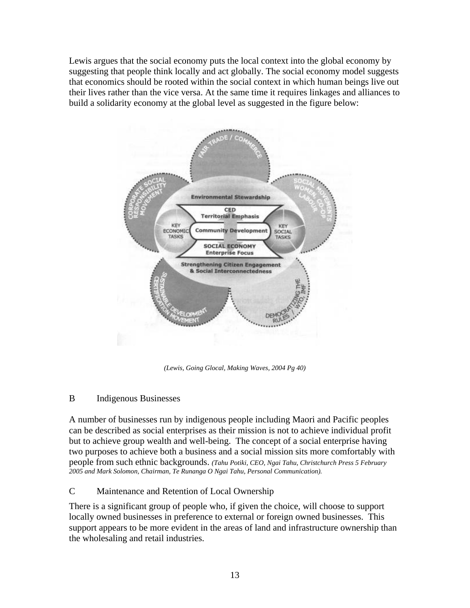Lewis argues that the social economy puts the local context into the global economy by suggesting that people think locally and act globally. The social economy model suggests that economics should be rooted within the social context in which human beings live out their lives rather than the vice versa. At the same time it requires linkages and alliances to build a solidarity economy at the global level as suggested in the figure below:



*(Lewis, Going Glocal, Making Waves, 2004 Pg 40)* 

### B Indigenous Businesses

A number of businesses run by indigenous people including Maori and Pacific peoples can be described as social enterprises as their mission is not to achieve individual profit but to achieve group wealth and well-being. The concept of a social enterprise having two purposes to achieve both a business and a social mission sits more comfortably with people from such ethnic backgrounds. *(Tahu Potiki, CEO, Ngai Tahu, Christchurch Press 5 February 2005 and Mark Solomon, Chairman, Te Runanga O Ngai Tahu, Personal Communication).* 

## C Maintenance and Retention of Local Ownership

There is a significant group of people who, if given the choice, will choose to support locally owned businesses in preference to external or foreign owned businesses. This support appears to be more evident in the areas of land and infrastructure ownership than the wholesaling and retail industries.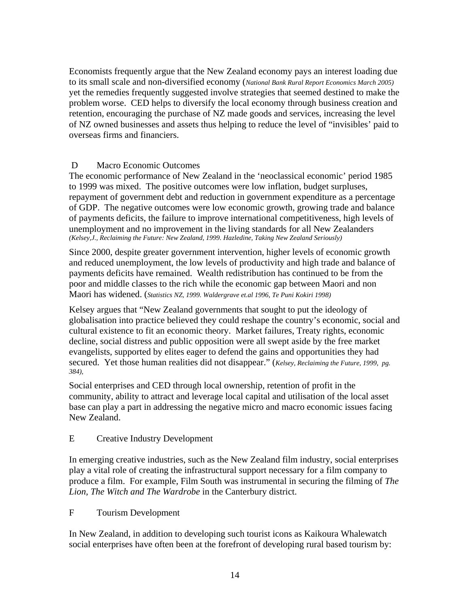Economists frequently argue that the New Zealand economy pays an interest loading due to its small scale and non-diversified economy (*National Bank Rural Report Economics March 2005)* yet the remedies frequently suggested involve strategies that seemed destined to make the problem worse. CED helps to diversify the local economy through business creation and retention, encouraging the purchase of NZ made goods and services, increasing the level of NZ owned businesses and assets thus helping to reduce the level of "invisibles' paid to overseas firms and financiers.

#### D Macro Economic Outcomes

The economic performance of New Zealand in the 'neoclassical economic' period 1985 to 1999 was mixed. The positive outcomes were low inflation, budget surpluses, repayment of government debt and reduction in government expenditure as a percentage of GDP. The negative outcomes were low economic growth, growing trade and balance of payments deficits, the failure to improve international competitiveness, high levels of unemployment and no improvement in the living standards for all New Zealanders *(Kelsey,J., Reclaiming the Future: New Zealand, 1999. Hazledine, Taking New Zealand Seriously)* 

Since 2000, despite greater government intervention, higher levels of economic growth and reduced unemployment, the low levels of productivity and high trade and balance of payments deficits have remained. Wealth redistribution has continued to be from the poor and middle classes to the rich while the economic gap between Maori and non Maori has widened. (*Statistics NZ, 1999. Waldergrave et.al 1996, Te Puni Kokiri 1998)*

Kelsey argues that "New Zealand governments that sought to put the ideology of globalisation into practice believed they could reshape the country's economic, social and cultural existence to fit an economic theory. Market failures, Treaty rights, economic decline, social distress and public opposition were all swept aside by the free market evangelists, supported by elites eager to defend the gains and opportunities they had secured. Yet those human realities did not disappear." (*Kelsey, Reclaiming the Future, 1999, pg. 384),* 

Social enterprises and CED through local ownership, retention of profit in the community, ability to attract and leverage local capital and utilisation of the local asset base can play a part in addressing the negative micro and macro economic issues facing New Zealand.

#### E Creative Industry Development

In emerging creative industries, such as the New Zealand film industry, social enterprises play a vital role of creating the infrastructural support necessary for a film company to produce a film. For example, Film South was instrumental in securing the filming of *The Lion, The Witch and The Wardrobe* in the Canterbury district.

#### F Tourism Development

In New Zealand, in addition to developing such tourist icons as Kaikoura Whalewatch social enterprises have often been at the forefront of developing rural based tourism by: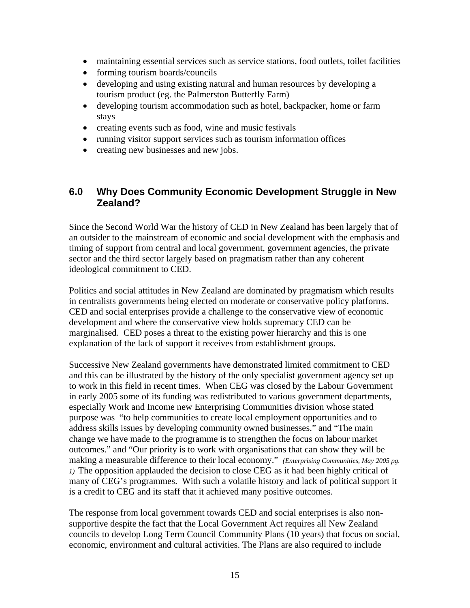- maintaining essential services such as service stations, food outlets, toilet facilities
- forming tourism boards/councils
- developing and using existing natural and human resources by developing a tourism product (eg. the Palmerston Butterfly Farm)
- developing tourism accommodation such as hotel, backpacker, home or farm stays
- creating events such as food, wine and music festivals
- running visitor support services such as tourism information offices
- creating new businesses and new jobs.

# **6.0 Why Does Community Economic Development Struggle in New Zealand?**

Since the Second World War the history of CED in New Zealand has been largely that of an outsider to the mainstream of economic and social development with the emphasis and timing of support from central and local government, government agencies, the private sector and the third sector largely based on pragmatism rather than any coherent ideological commitment to CED.

Politics and social attitudes in New Zealand are dominated by pragmatism which results in centralists governments being elected on moderate or conservative policy platforms. CED and social enterprises provide a challenge to the conservative view of economic development and where the conservative view holds supremacy CED can be marginalised. CED poses a threat to the existing power hierarchy and this is one explanation of the lack of support it receives from establishment groups.

Successive New Zealand governments have demonstrated limited commitment to CED and this can be illustrated by the history of the only specialist government agency set up to work in this field in recent times. When CEG was closed by the Labour Government in early 2005 some of its funding was redistributed to various government departments, especially Work and Income new Enterprising Communities division whose stated purpose was "to help communities to create local employment opportunities and to address skills issues by developing community owned businesses." and "The main change we have made to the programme is to strengthen the focus on labour market outcomes." and "Our priority is to work with organisations that can show they will be making a measurable difference to their local economy." *(Enterprising Communities, May 2005 pg. 1)* The opposition applauded the decision to close CEG as it had been highly critical of many of CEG's programmes. With such a volatile history and lack of political support it is a credit to CEG and its staff that it achieved many positive outcomes.

The response from local government towards CED and social enterprises is also nonsupportive despite the fact that the Local Government Act requires all New Zealand councils to develop Long Term Council Community Plans (10 years) that focus on social, economic, environment and cultural activities. The Plans are also required to include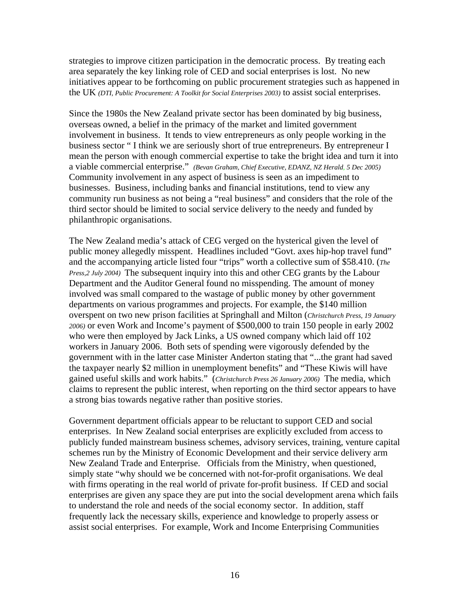strategies to improve citizen participation in the democratic process. By treating each area separately the key linking role of CED and social enterprises is lost. No new initiatives appear to be forthcoming on public procurement strategies such as happened in the UK *(DTI, Public Procurement: A Toolkit for Social Enterprises 2003)* to assist social enterprises.

Since the 1980s the New Zealand private sector has been dominated by big business, overseas owned, a belief in the primacy of the market and limited government involvement in business. It tends to view entrepreneurs as only people working in the business sector " I think we are seriously short of true entrepreneurs. By entrepreneur I mean the person with enough commercial expertise to take the bright idea and turn it into a viable commercial enterprise." *(Bevan Graham, Chief Executive, EDANZ, NZ Herald, 5 Dec 2005)* Community involvement in any aspect of business is seen as an impediment to businesses. Business, including banks and financial institutions, tend to view any community run business as not being a "real business" and considers that the role of the third sector should be limited to social service delivery to the needy and funded by philanthropic organisations.

The New Zealand media's attack of CEG verged on the hysterical given the level of public money allegedly misspent. Headlines included "Govt. axes hip-hop travel fund" and the accompanying article listed four "trips" worth a collective sum of \$58.410. (*The Press,2 July 2004)* The subsequent inquiry into this and other CEG grants by the Labour Department and the Auditor General found no misspending. The amount of money involved was small compared to the wastage of public money by other government departments on various programmes and projects. For example, the \$140 million overspent on two new prison facilities at Springhall and Milton (*Christchurch Press, 19 January 2006)* or even Work and Income's payment of \$500,000 to train 150 people in early 2002 who were then employed by Jack Links, a US owned company which laid off 102 workers in January 2006. Both sets of spending were vigorously defended by the government with in the latter case Minister Anderton stating that "...the grant had saved the taxpayer nearly \$2 million in unemployment benefits" and "These Kiwis will have gained useful skills and work habits." (*Christchurch Press 26 January 2006)* The media, which claims to represent the public interest, when reporting on the third sector appears to have a strong bias towards negative rather than positive stories.

Government department officials appear to be reluctant to support CED and social enterprises. In New Zealand social enterprises are explicitly excluded from access to publicly funded mainstream business schemes, advisory services, training, venture capital schemes run by the Ministry of Economic Development and their service delivery arm New Zealand Trade and Enterprise. Officials from the Ministry, when questioned, simply state "why should we be concerned with not-for-profit organisations. We deal with firms operating in the real world of private for-profit business. If CED and social enterprises are given any space they are put into the social development arena which fails to understand the role and needs of the social economy sector. In addition, staff frequently lack the necessary skills, experience and knowledge to properly assess or assist social enterprises. For example, Work and Income Enterprising Communities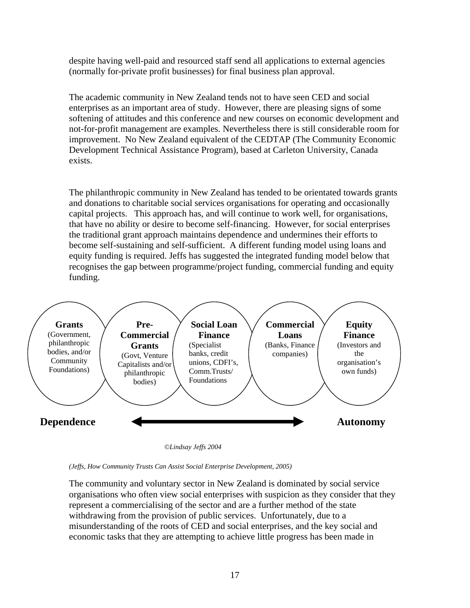despite having well-paid and resourced staff send all applications to external agencies (normally for-private profit businesses) for final business plan approval.

The academic community in New Zealand tends not to have seen CED and social enterprises as an important area of study. However, there are pleasing signs of some softening of attitudes and this conference and new courses on economic development and not-for-profit management are examples. Nevertheless there is still considerable room for improvement. No New Zealand equivalent of the CEDTAP (The Community Economic Development Technical Assistance Program)*,* based at Carleton University, Canada exists.

The philanthropic community in New Zealand has tended to be orientated towards grants and donations to charitable social services organisations for operating and occasionally capital projects. This approach has, and will continue to work well, for organisations, that have no ability or desire to become self-financing. However, for social enterprises the traditional grant approach maintains dependence and undermines their efforts to become self-sustaining and self-sufficient. A different funding model using loans and equity funding is required. Jeffs has suggested the integrated funding model below that recognises the gap between programme/project funding, commercial funding and equity funding.



*©Lindsay Jeffs 2004* 

The community and voluntary sector in New Zealand is dominated by social service organisations who often view social enterprises with suspicion as they consider that they represent a commercialising of the sector and are a further method of the state withdrawing from the provision of public services. Unfortunately, due to a misunderstanding of the roots of CED and social enterprises, and the key social and economic tasks that they are attempting to achieve little progress has been made in

*<sup>(</sup>Jeffs, How Community Trusts Can Assist Social Enterprise Development, 2005)*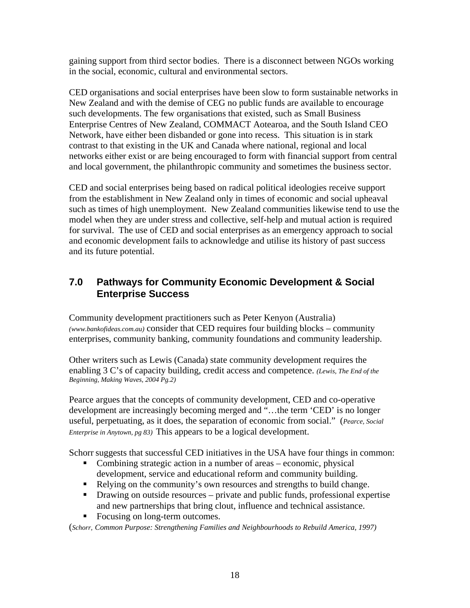gaining support from third sector bodies. There is a disconnect between NGOs working in the social, economic, cultural and environmental sectors.

CED organisations and social enterprises have been slow to form sustainable networks in New Zealand and with the demise of CEG no public funds are available to encourage such developments. The few organisations that existed, such as Small Business Enterprise Centres of New Zealand, COMMACT Aotearoa, and the South Island CEO Network, have either been disbanded or gone into recess. This situation is in stark contrast to that existing in the UK and Canada where national, regional and local networks either exist or are being encouraged to form with financial support from central and local government, the philanthropic community and sometimes the business sector.

CED and social enterprises being based on radical political ideologies receive support from the establishment in New Zealand only in times of economic and social upheaval such as times of high unemployment. New Zealand communities likewise tend to use the model when they are under stress and collective, self-help and mutual action is required for survival. The use of CED and social enterprises as an emergency approach to social and economic development fails to acknowledge and utilise its history of past success and its future potential.

# **7.0 Pathways for Community Economic Development & Social Enterprise Success**

Community development practitioners such as Peter Kenyon (Australia) *(www.bankofideas.com.au)* consider that CED requires four building blocks – community enterprises, community banking, community foundations and community leadership.

Other writers such as Lewis (Canada) state community development requires the enabling 3 C's of capacity building, credit access and competence. *(Lewis, The End of the Beginning, Making Waves, 2004 Pg.2)*

Pearce argues that the concepts of community development, CED and co-operative development are increasingly becoming merged and "…the term 'CED' is no longer useful, perpetuating, as it does, the separation of economic from social." (*Pearce, Social Enterprise in Anytown, pg 83)* This appears to be a logical development.

Schorr suggests that successful CED initiatives in the USA have four things in common:

- Combining strategic action in a number of areas economic, physical development, service and educational reform and community building.
- Relying on the community's own resources and strengths to build change.
- Drawing on outside resources private and public funds, professional expertise and new partnerships that bring clout, influence and technical assistance.
- Focusing on long-term outcomes.

(*Schorr, Common Purpose: Strengthening Families and Neighbourhoods to Rebuild America, 1997)*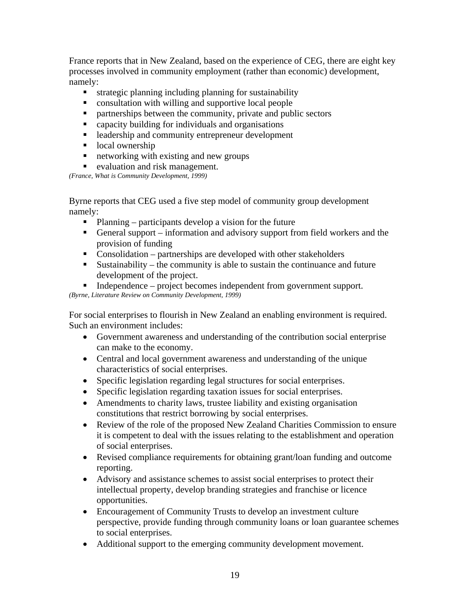France reports that in New Zealand, based on the experience of CEG, there are eight key processes involved in community employment (rather than economic) development, namely:

- strategic planning including planning for sustainability
- consultation with willing and supportive local people
- partnerships between the community, private and public sectors
- capacity building for individuals and organisations
- **Example 1** leadership and community entrepreneur development
- local ownership
- networking with existing and new groups
- evaluation and risk management.

*(France, What is Community Development, 1999)*

Byrne reports that CEG used a five step model of community group development namely:

- Planning participants develop a vision for the future
- General support information and advisory support from field workers and the provision of funding
- Consolidation partnerships are developed with other stakeholders
- Sustainability the community is able to sustain the continuance and future development of the project.
- Independence project becomes independent from government support.

*(Byrne, Literature Review on Community Development, 1999)* 

For social enterprises to flourish in New Zealand an enabling environment is required. Such an environment includes:

- Government awareness and understanding of the contribution social enterprise can make to the economy.
- Central and local government awareness and understanding of the unique characteristics of social enterprises.
- Specific legislation regarding legal structures for social enterprises.
- Specific legislation regarding taxation issues for social enterprises.
- Amendments to charity laws, trustee liability and existing organisation constitutions that restrict borrowing by social enterprises.
- Review of the role of the proposed New Zealand Charities Commission to ensure it is competent to deal with the issues relating to the establishment and operation of social enterprises.
- Revised compliance requirements for obtaining grant/loan funding and outcome reporting.
- Advisory and assistance schemes to assist social enterprises to protect their intellectual property, develop branding strategies and franchise or licence opportunities.
- Encouragement of Community Trusts to develop an investment culture perspective, provide funding through community loans or loan guarantee schemes to social enterprises.
- Additional support to the emerging community development movement.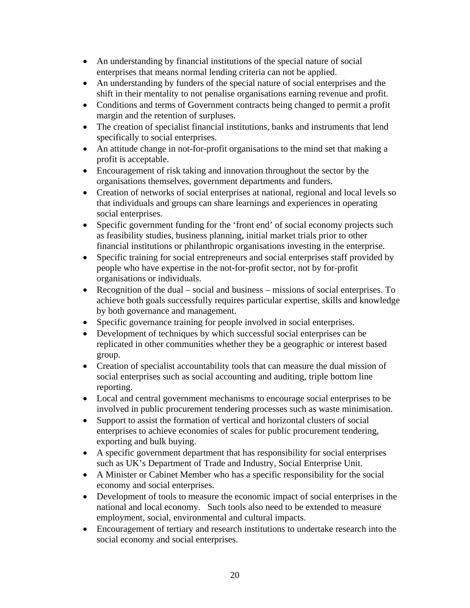- An understanding by financial institutions of the special nature of social enterprises that means normal lending criteria can not be applied.
- An understanding by funders of the special nature of social enterprises and the shift in their mentality to not penalise organisations earning revenue and profit.
- Conditions and terms of Government contracts being changed to permit a profit margin and the retention of surpluses.
- The creation of specialist financial institutions, banks and instruments that lend specifically to social enterprises.
- An attitude change in not-for-profit organisations to the mind set that making a profit is acceptable.
- Encouragement of risk taking and innovation throughout the sector by the organisations themselves, government departments and funders.
- Creation of networks of social enterprises at national, regional and local levels so that individuals and groups can share learnings and experiences in operating social enterprises.
- Specific government funding for the 'front end' of social economy projects such as feasibility studies, business planning, initial market trials prior to other financial institutions or philanthropic organisations investing in the enterprise.
- Specific training for social entrepreneurs and social enterprises staff provided by people who have expertise in the not-for-profit sector, not by for-profit organisations or individuals.
- Recognition of the dual social and business missions of social enterprises. To achieve both goals successfully requires particular expertise, skills and knowledge by both governance and management.
- Specific governance training for people involved in social enterprises.
- Development of techniques by which successful social enterprises can be replicated in other communities whether they be a geographic or interest based group.
- Creation of specialist accountability tools that can measure the dual mission of social enterprises such as social accounting and auditing, triple bottom line reporting.
- Local and central government mechanisms to encourage social enterprises to be involved in public procurement tendering processes such as waste minimisation.
- Support to assist the formation of vertical and horizontal clusters of social enterprises to achieve economies of scales for public procurement tendering, exporting and bulk buying.
- A specific government department that has responsibility for social enterprises such as UK's Department of Trade and Industry, Social Enterprise Unit.
- A Minister or Cabinet Member who has a specific responsibility for the social economy and social enterprises.
- Development of tools to measure the economic impact of social enterprises in the national and local economy. Such tools also need to be extended to measure employment, social, environmental and cultural impacts.
- Encouragement of tertiary and research institutions to undertake research into the social economy and social enterprises.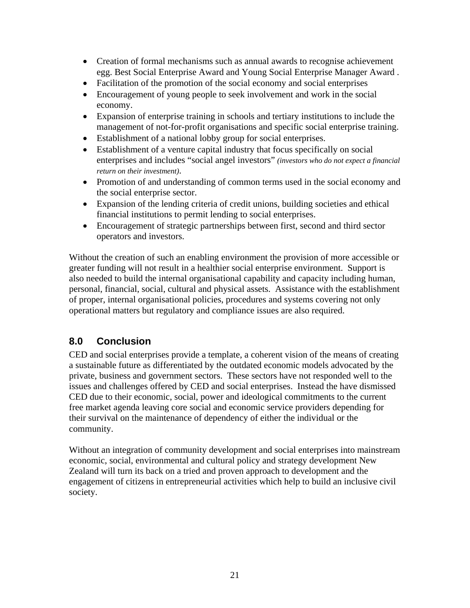- Creation of formal mechanisms such as annual awards to recognise achievement egg. Best Social Enterprise Award and Young Social Enterprise Manager Award .
- Facilitation of the promotion of the social economy and social enterprises
- Encouragement of young people to seek involvement and work in the social economy.
- Expansion of enterprise training in schools and tertiary institutions to include the management of not-for-profit organisations and specific social enterprise training.
- Establishment of a national lobby group for social enterprises.
- Establishment of a venture capital industry that focus specifically on social enterprises and includes "social angel investors" *(investors who do not expect a financial return on their investment)*.
- Promotion of and understanding of common terms used in the social economy and the social enterprise sector.
- Expansion of the lending criteria of credit unions, building societies and ethical financial institutions to permit lending to social enterprises.
- Encouragement of strategic partnerships between first, second and third sector operators and investors.

Without the creation of such an enabling environment the provision of more accessible or greater funding will not result in a healthier social enterprise environment. Support is also needed to build the internal organisational capability and capacity including human, personal, financial, social, cultural and physical assets. Assistance with the establishment of proper, internal organisational policies, procedures and systems covering not only operational matters but regulatory and compliance issues are also required.

# **8.0 Conclusion**

CED and social enterprises provide a template, a coherent vision of the means of creating a sustainable future as differentiated by the outdated economic models advocated by the private, business and government sectors. These sectors have not responded well to the issues and challenges offered by CED and social enterprises. Instead the have dismissed CED due to their economic, social, power and ideological commitments to the current free market agenda leaving core social and economic service providers depending for their survival on the maintenance of dependency of either the individual or the community.

Without an integration of community development and social enterprises into mainstream economic, social, environmental and cultural policy and strategy development New Zealand will turn its back on a tried and proven approach to development and the engagement of citizens in entrepreneurial activities which help to build an inclusive civil society.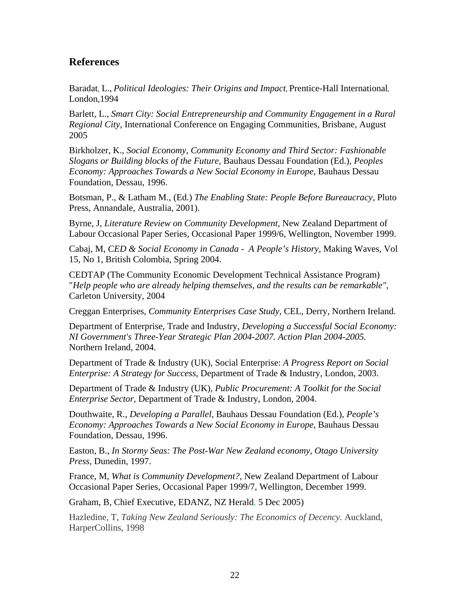## **References**

Baradat*,* L., *Political Ideologies: Their Origins and Impact,* Prentice-Hall International*,*  London,1994

Barlett*,* L., *[Smart City: Social Entrepreneurship and Community Engagement in a Rural](http://www.engagingcommunities2005.org/abstracts/S56-bartlett-l.html)  [Regional City](http://www.engagingcommunities2005.org/abstracts/S56-bartlett-l.html),* International Conference on Engaging Communities, Brisbane, August 2005

Birkholzer, K., *Social Economy, Community Economy and Third Sector: Fashionable Slogans or Building blocks of the Future,* Bauhaus Dessau Foundation (Ed.), *Peoples Economy: Approaches Towards a New Social Economy in Europe,* Bauhaus Dessau Foundation, Dessau, 1996.

Botsman, P., & Latham M., (Ed.) *The Enabling State: People Before Bureaucracy,* Pluto Press, Annandale, Australia, 2001).

Byrne, J, *Literature Review on Community Development,* New Zealand Department of Labour Occasional Paper Series, Occasional Paper 1999/6, Wellington, November 1999.

Cabaj, M, *CED & Social Economy in Canada - A People's History,* Making Waves, Vol 15, No 1, British Colombia, Spring 2004.

CEDTAP (The Community Economic Development Technical Assistance Program) "*Help people who are already helping themselves, and the results can be remarkable",*  Carleton University, 2004

Creggan Enterprises, *Community Enterprises Case Study*, CEL, Derry, Northern Ireland.

Department of Enterprise, Trade and Industry, *Developing a Successful Social Economy: NI Government's Three-Year Strategic Plan 2004-2007. Action Plan 2004-2005.* Northern Ireland, 2004.

Department of Trade & Industry (UK), Social Enterprise: *A Progress Report on Social Enterprise: A Strategy for Success*, Department of Trade & Industry, London, 2003.

Department of Trade & Industry (UK), *Public Procurement: A Toolkit for the Social Enterprise Sector*, Department of Trade & Industry, London, 2004.

Douthwaite, R., *Developing a Parallel,* Bauhaus Dessau Foundation (Ed.), *People's Economy: Approaches Towards a New Social Economy in Europe, Bauhaus Dessau* Foundation, Dessau, 1996.

Easton, B., *In Stormy Seas: The Post-War New Zealand economy, Otago University Press,* Dunedin, 1997.

France, M, *What is Community Development?,* New Zealand Department of Labour Occasional Paper Series, Occasional Paper 1999/7, Wellington, December 1999.

Graham, B, Chief Executive, EDANZ, NZ Herald, 5 Dec 2005)

Hazledine, T, *Taking New Zealand Seriously: The Economics of Decency.* Auckland, HarperCollins, 1998